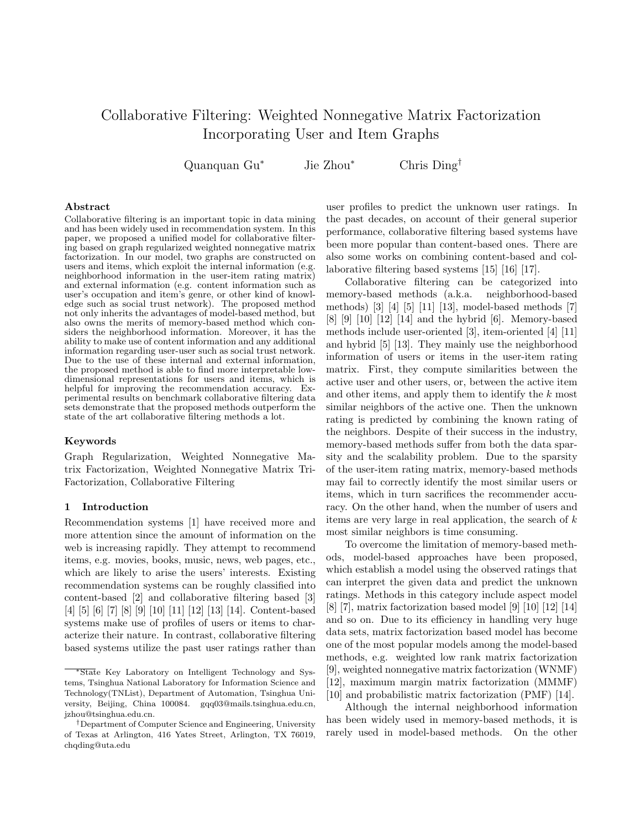# Collaborative Filtering: Weighted Nonnegative Matrix Factorization Incorporating User and Item Graphs

Quanquan Gu<sup>∗</sup> Jie Zhou<sup>∗</sup> Chris Ding†

## Abstract

Collaborative filtering is an important topic in data mining and has been widely used in recommendation system. In this paper, we proposed a unified model for collaborative filtering based on graph regularized weighted nonnegative matrix factorization. In our model, two graphs are constructed on users and items, which exploit the internal information (e.g. neighborhood information in the user-item rating matrix) and external information (e.g. content information such as user's occupation and item's genre, or other kind of knowledge such as social trust network). The proposed method not only inherits the advantages of model-based method, but also owns the merits of memory-based method which considers the neighborhood information. Moreover, it has the ability to make use of content information and any additional information regarding user-user such as social trust network. Due to the use of these internal and external information, the proposed method is able to find more interpretable lowdimensional representations for users and items, which is helpful for improving the recommendation accuracy. Experimental results on benchmark collaborative filtering data sets demonstrate that the proposed methods outperform the state of the art collaborative filtering methods a lot.

#### Keywords

Graph Regularization, Weighted Nonnegative Matrix Factorization, Weighted Nonnegative Matrix Tri-Factorization, Collaborative Filtering

#### 1 Introduction

Recommendation systems [1] have received more and more attention since the amount of information on the web is increasing rapidly. They attempt to recommend items, e.g. movies, books, music, news, web pages, etc., which are likely to arise the users' interests. Existing recommendation systems can be roughly classified into content-based [2] and collaborative filtering based [3] [4] [5] [6] [7] [8] [9] [10] [11] [12] [13] [14]. Content-based systems make use of profiles of users or items to characterize their nature. In contrast, collaborative filtering based systems utilize the past user ratings rather than

user profiles to predict the unknown user ratings. In the past decades, on account of their general superior performance, collaborative filtering based systems have been more popular than content-based ones. There are also some works on combining content-based and collaborative filtering based systems [15] [16] [17].

Collaborative filtering can be categorized into memory-based methods (a.k.a. neighborhood-based methods) [3] [4] [5] [11] [13], model-based methods [7] [8] [9] [10] [12] [14] and the hybrid [6]. Memory-based methods include user-oriented [3], item-oriented [4] [11] and hybrid [5] [13]. They mainly use the neighborhood information of users or items in the user-item rating matrix. First, they compute similarities between the active user and other users, or, between the active item and other items, and apply them to identify the k most similar neighbors of the active one. Then the unknown rating is predicted by combining the known rating of the neighbors. Despite of their success in the industry, memory-based methods suffer from both the data sparsity and the scalability problem. Due to the sparsity of the user-item rating matrix, memory-based methods may fail to correctly identify the most similar users or items, which in turn sacrifices the recommender accuracy. On the other hand, when the number of users and items are very large in real application, the search of  $k$ most similar neighbors is time consuming.

To overcome the limitation of memory-based methods, model-based approaches have been proposed, which establish a model using the observed ratings that can interpret the given data and predict the unknown ratings. Methods in this category include aspect model [8] [7], matrix factorization based model [9] [10] [12] [14] and so on. Due to its efficiency in handling very huge data sets, matrix factorization based model has become one of the most popular models among the model-based methods, e.g. weighted low rank matrix factorization [9], weighted nonnegative matrix factorization (WNMF) [12], maximum margin matrix factorization (MMMF) [10] and probabilistic matrix factorization (PMF) [14].

Although the internal neighborhood information has been widely used in memory-based methods, it is rarely used in model-based methods. On the other

<sup>∗</sup>State Key Laboratory on Intelligent Technology and Systems, Tsinghua National Laboratory for Information Science and Technology(TNList), Department of Automation, Tsinghua University, Beijing, China 100084. gqq03@mails.tsinghua.edu.cn, jzhou@tsinghua.edu.cn.

<sup>†</sup>Department of Computer Science and Engineering, University of Texas at Arlington, 416 Yates Street, Arlington, TX 76019, chqding@uta.edu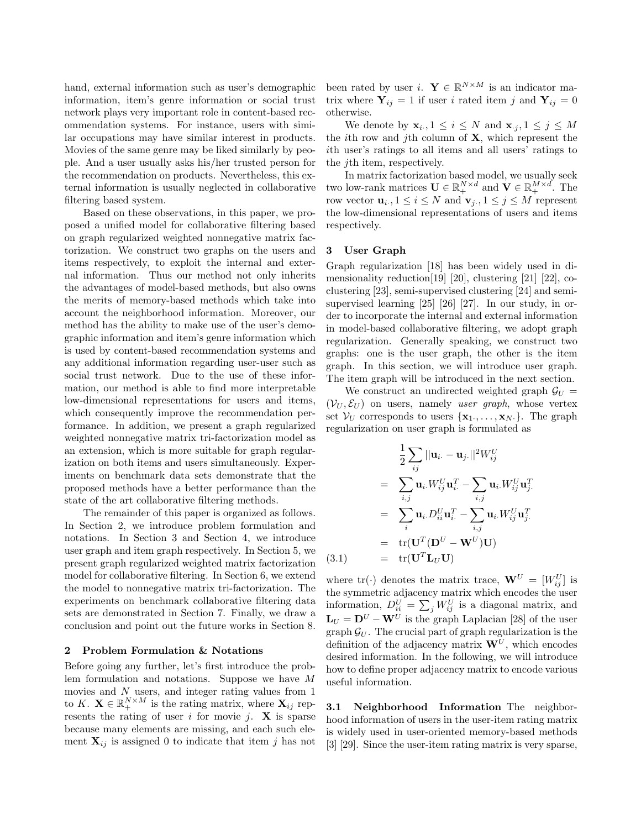hand, external information such as user's demographic information, item's genre information or social trust network plays very important role in content-based recommendation systems. For instance, users with similar occupations may have similar interest in products. Movies of the same genre may be liked similarly by people. And a user usually asks his/her trusted person for the recommendation on products. Nevertheless, this external information is usually neglected in collaborative filtering based system.

Based on these observations, in this paper, we proposed a unified model for collaborative filtering based on graph regularized weighted nonnegative matrix factorization. We construct two graphs on the users and items respectively, to exploit the internal and external information. Thus our method not only inherits the advantages of model-based methods, but also owns the merits of memory-based methods which take into account the neighborhood information. Moreover, our method has the ability to make use of the user's demographic information and item's genre information which is used by content-based recommendation systems and any additional information regarding user-user such as social trust network. Due to the use of these information, our method is able to find more interpretable low-dimensional representations for users and items, which consequently improve the recommendation performance. In addition, we present a graph regularized weighted nonnegative matrix tri-factorization model as an extension, which is more suitable for graph regularization on both items and users simultaneously. Experiments on benchmark data sets demonstrate that the proposed methods have a better performance than the state of the art collaborative filtering methods.

The remainder of this paper is organized as follows. In Section 2, we introduce problem formulation and notations. In Section 3 and Section 4, we introduce user graph and item graph respectively. In Section 5, we present graph regularized weighted matrix factorization model for collaborative filtering. In Section 6, we extend the model to nonnegative matrix tri-factorization. The experiments on benchmark collaborative filtering data sets are demonstrated in Section 7. Finally, we draw a conclusion and point out the future works in Section 8.

### 2 Problem Formulation & Notations

Before going any further, let's first introduce the problem formulation and notations. Suppose we have M movies and N users, and integer rating values from 1 to K.  $\mathbf{X} \in \mathbb{R}_+^{N \times M}$  is the rating matrix, where  $\mathbf{X}_{ij}$  represents the rating of user i for movie j.  $X$  is sparse because many elements are missing, and each such element  $X_{ij}$  is assigned 0 to indicate that item j has not

been rated by user i.  $\mathbf{Y} \in \mathbb{R}^{N \times M}$  is an indicator matrix where  $Y_{ij} = 1$  if user i rated item j and  $Y_{ij} = 0$ otherwise.

We denote by  $\mathbf{x}_i, 1 \leq i \leq N$  and  $\mathbf{x}_{\cdot j}, 1 \leq j \leq M$ the *i*th row and *j*th column of  $X$ , which represent the ith user's ratings to all items and all users' ratings to the jth item, respectively.

In matrix factorization based model, we usually seek two low-rank matrices  $\mathbf{U} \in \mathbb{R}_{+}^{N \times d}$  and  $\mathbf{V} \in \mathbb{R}_{+}^{M \times d}$ . The row vector  $\mathbf{u}_i, 1 \leq i \leq N$  and  $\mathbf{v}_j, 1 \leq j \leq M$  represent the low-dimensional representations of users and items respectively.

#### 3 User Graph

 $(3.1)$ 

Graph regularization [18] has been widely used in dimensionality reduction[19] [20], clustering [21] [22], coclustering [23], semi-supervised clustering [24] and semisupervised learning [25] [26] [27]. In our study, in order to incorporate the internal and external information in model-based collaborative filtering, we adopt graph regularization. Generally speaking, we construct two graphs: one is the user graph, the other is the item graph. In this section, we will introduce user graph. The item graph will be introduced in the next section.

We construct an undirected weighted graph  $\mathcal{G}_U$  =  $(V_U, \mathcal{E}_U)$  on users, namely *user graph*, whose vertex set  $V_U$  corresponds to users  $\{x_1, \ldots, x_N\}$ . The graph regularization on user graph is formulated as

$$
\frac{1}{2} \sum_{ij} ||\mathbf{u}_{i\cdot} - \mathbf{u}_{j\cdot}||^2 W_{ij}^U
$$
\n
$$
= \sum_{i,j} \mathbf{u}_{i\cdot} W_{ij}^U \mathbf{u}_{i\cdot}^T - \sum_{i,j} \mathbf{u}_{i\cdot} W_{ij}^U \mathbf{u}_{j\cdot}^T
$$
\n
$$
= \sum_{i} \mathbf{u}_{i\cdot} D_{ii}^U \mathbf{u}_{i\cdot}^T - \sum_{i,j} \mathbf{u}_{i\cdot} W_{ij}^U \mathbf{u}_{j\cdot}^T
$$
\n
$$
= \text{tr}(\mathbf{U}^T (\mathbf{D}^U - \mathbf{W}^U) \mathbf{U})
$$
\n
$$
= \text{tr}(\mathbf{U}^T \mathbf{L}_U \mathbf{U})
$$

where  $\text{tr}(\cdot)$  denotes the matrix trace,  $\mathbf{W}^U = [W_{ij}^U]$  is the symmetric adjacency matrix which encodes the user the symmetric adjacency matrix which encodes the user<br>information,  $D_{ii}^U = \sum_j W_{ij}^U$  is a diagonal matrix, and  $\mathbf{L}_U = \mathbf{D}^U - \mathbf{W}^U$  is the graph Laplacian [28] of the user graph  $\mathcal{G}_U$ . The crucial part of graph regularization is the definition of the adjacency matrix  $\mathbf{W}^{U}$ , which encodes desired information. In the following, we will introduce how to define proper adjacency matrix to encode various useful information.

3.1 Neighborhood Information The neighborhood information of users in the user-item rating matrix is widely used in user-oriented memory-based methods [3] [29]. Since the user-item rating matrix is very sparse,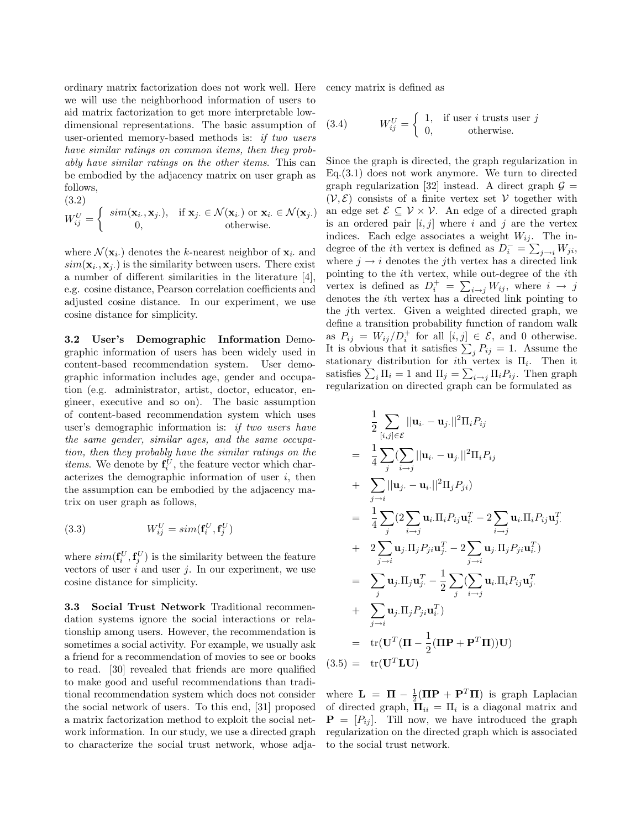ordinary matrix factorization does not work well. Here we will use the neighborhood information of users to aid matrix factorization to get more interpretable lowdimensional representations. The basic assumption of user-oriented memory-based methods is: if two users have similar ratings on common items, then they probably have similar ratings on the other items. This can be embodied by the adjacency matrix on user graph as follows,

(3.2)  
\n
$$
W_{ij}^U = \begin{cases}\n\operatorname{sim}(\mathbf{x}_i, \mathbf{x}_j.), & \text{if } \mathbf{x}_j \in \mathcal{N}(\mathbf{x}_i) \text{ or } \mathbf{x}_i \in \mathcal{N}(\mathbf{x}_j.) \\
0, & \text{otherwise.}\n\end{cases}
$$

where  $\mathcal{N}(\mathbf{x}_i)$  denotes the k-nearest neighbor of  $\mathbf{x}_i$  and  $sim(\mathbf{x}_i, \mathbf{x}_j)$  is the similarity between users. There exist a number of different similarities in the literature [4], e.g. cosine distance, Pearson correlation coefficients and adjusted cosine distance. In our experiment, we use cosine distance for simplicity.

3.2 User's Demographic Information Demographic information of users has been widely used in content-based recommendation system. User demographic information includes age, gender and occupation (e.g. administrator, artist, doctor, educator, engineer, executive and so on). The basic assumption of content-based recommendation system which uses user's demographic information is: if two users have the same gender, similar ages, and the same occupation, then they probably have the similar ratings on the *items.* We denote by  $\mathbf{f}_i^U$ , the feature vector which characterizes the demographic information of user  $i$ , then the assumption can be embodied by the adjacency matrix on user graph as follows,

(3.3) 
$$
W_{ij}^U = sim(\mathbf{f}_i^U, \mathbf{f}_j^U)
$$

where  $sim(\mathbf{f}_i^U, \mathbf{f}_j^U)$  is the similarity between the feature vectors of user  $i$  and user  $j$ . In our experiment, we use cosine distance for simplicity.

3.3 Social Trust Network Traditional recommendation systems ignore the social interactions or relationship among users. However, the recommendation is sometimes a social activity. For example, we usually ask a friend for a recommendation of movies to see or books to read. [30] revealed that friends are more qualified to make good and useful recommendations than traditional recommendation system which does not consider the social network of users. To this end, [31] proposed a matrix factorization method to exploit the social network information. In our study, we use a directed graph to characterize the social trust network, whose adjacency matrix is defined as

(3.4) 
$$
W_{ij}^U = \begin{cases} 1, & \text{if user } i \text{ trusts user } j \\ 0, & \text{otherwise.} \end{cases}
$$

Since the graph is directed, the graph regularization in Eq.(3.1) does not work anymore. We turn to directed graph regularization [32] instead. A direct graph  $\mathcal{G} =$  $(V, \mathcal{E})$  consists of a finite vertex set V together with an edge set  $\mathcal{E} \subseteq \mathcal{V} \times \mathcal{V}$ . An edge of a directed graph is an ordered pair  $[i, j]$  where i and j are the vertex indices. Each edge associates a weight  $W_{ij}$ . The indegree of the *i*th vertex is defined as  $D_i^- = \sum_{j \to i} W_{ji}$ , where  $j \rightarrow i$  denotes the *j*th vertex has a directed link pointing to the ith vertex, while out-degree of the ith pointing to the *i*th vertex, while out-degree of the *i*th<br>vertex is defined as  $D_i^+ = \sum_{i \to j} W_{ij}$ , where  $i \to j$ denotes the ith vertex has a directed link pointing to the jth vertex. Given a weighted directed graph, we define a transition probability function of random walk as  $P_{ij} = W_{ij}/D_i^+$  for all  $[i, j] \in \mathcal{E}$ , and 0 otherwise. as  $P_{ij} = W_{ij}/D_i$  for all  $[i, j] \in \mathcal{E}$ , and 0 otherwise.<br>It is obvious that it satisfies  $\sum_j P_{ij} = 1$ . Assume the stationary distribution for *i*th vertex is  $\Pi_i$ . Then it stationary distribution for the vertex is  $\Pi_i$ . Then it satisfies  $\sum_i \Pi_i = 1$  and  $\Pi_j = \sum_{i \to j} \Pi_i P_{ij}$ . Then graph regularization on directed graph can be formulated as

$$
\frac{1}{2} \sum_{[i,j] \in \mathcal{E}} ||\mathbf{u}_{i.} - \mathbf{u}_{j.}||^{2} \Pi_{i} P_{ij}
$$
\n
$$
= \frac{1}{4} \sum_{j} (\sum_{i \to j} ||\mathbf{u}_{i.} - \mathbf{u}_{j.}||^{2} \Pi_{i} P_{ij})
$$
\n
$$
+ \sum_{j \to i} ||\mathbf{u}_{j.} - \mathbf{u}_{i.}||^{2} \Pi_{j} P_{ji})
$$
\n
$$
= \frac{1}{4} \sum_{j} (2 \sum_{i \to j} \mathbf{u}_{i.} \Pi_{i} P_{ij} \mathbf{u}_{i.}^{T} - 2 \sum_{i \to j} \mathbf{u}_{i.} \Pi_{i} P_{ij} \mathbf{u}_{j.}^{T}
$$
\n
$$
+ 2 \sum_{j \to i} \mathbf{u}_{j.} \Pi_{j} P_{ji} \mathbf{u}_{j.}^{T} - 2 \sum_{j \to i} \mathbf{u}_{j.} \Pi_{j} P_{ji} \mathbf{u}_{i.}^{T})
$$
\n
$$
= \sum_{j} \mathbf{u}_{j.} \Pi_{j} \mathbf{u}_{j.}^{T} - \frac{1}{2} \sum_{j} (\sum_{i \to j} \mathbf{u}_{i.} \Pi_{i} P_{ij} \mathbf{u}_{j.}^{T})
$$
\n
$$
+ \sum_{j \to i} \mathbf{u}_{j.} \Pi_{j} P_{ji} \mathbf{u}_{i.}^{T})
$$
\n
$$
= \text{tr}(\mathbf{U}^{T} (\mathbf{I} - \frac{1}{2} (\mathbf{I} \mathbf{I} \mathbf{P} + \mathbf{P}^{T} \mathbf{I} \mathbf{I})) \mathbf{U})
$$
\n
$$
= \text{tr}(\mathbf{U}^{T} \mathbf{L} \mathbf{U})
$$

where  $\mathbf{L} = \mathbf{\Pi} - \frac{1}{2}(\mathbf{\Pi} \mathbf{P} + \mathbf{P}^T \mathbf{\Pi})$  is graph Laplacian of directed graph,  $\Pi_{ii} = \Pi_i$  is a diagonal matrix and  $\mathbf{P} = [P_{ij}]$ . Till now, we have introduced the graph regularization on the directed graph which is associated to the social trust network.

 $(3.5)$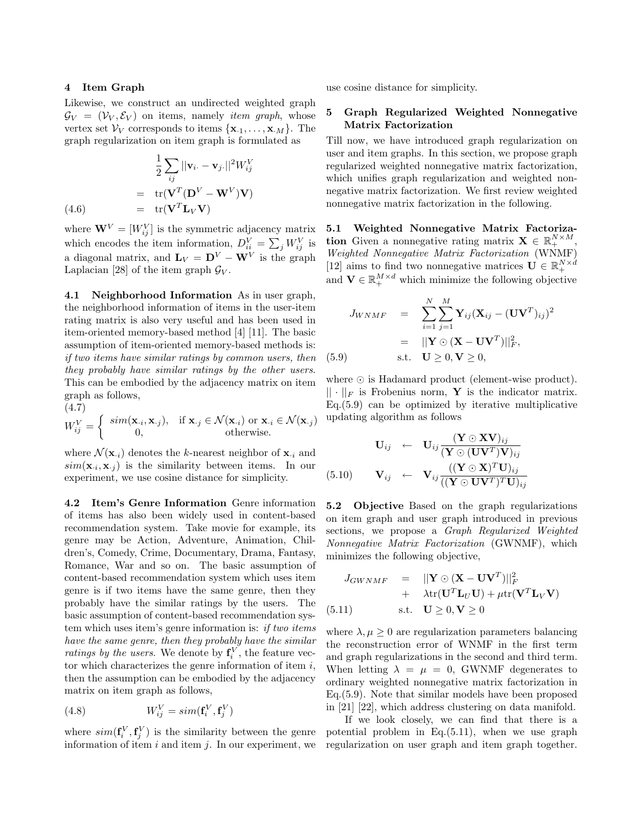#### 4 Item Graph

Likewise, we construct an undirected weighted graph  $\mathcal{G}_V = (\mathcal{V}_V, \mathcal{E}_V)$  on items, namely item graph, whose vertex set  $V_V$  corresponds to items  $\{x_{.1}, \ldots, x_{.M}\}$ . The graph regularization on item graph is formulated as

(4.6) 
$$
\frac{1}{2} \sum_{ij} ||\mathbf{v}_{i} - \mathbf{v}_{j}||^{2} W_{ij}^{V}
$$

$$
= \text{tr}(\mathbf{V}^{T}(\mathbf{D}^{V} - \mathbf{W}^{V})\mathbf{V})
$$

$$
= \text{tr}(\mathbf{V}^{T}\mathbf{L}_{V}\mathbf{V})
$$

where  $\mathbf{W}^V = [W_{ij}^V]$  is the symmetric adjacency matrix which encodes the item information,  $D_{ii}^V = \sum_j W_{ij}^V$  is a diagonal matrix, and  $\mathbf{L}_V = \mathbf{D}^V - \mathbf{W}^V$  is the graph Laplacian [28] of the item graph  $\mathcal{G}_V$ .

4.1 Neighborhood Information As in user graph, the neighborhood information of items in the user-item rating matrix is also very useful and has been used in item-oriented memory-based method [4] [11]. The basic assumption of item-oriented memory-based methods is: if two items have similar ratings by common users, then they probably have similar ratings by the other users. This can be embodied by the adjacency matrix on item graph as follows,  $(4.7)$ 

$$
W_{ij}^V = \begin{cases} \quad \text{sim}(\mathbf{x}_{\cdot i}, \mathbf{x}_{\cdot j}), & \text{if } \mathbf{x}_{\cdot j} \in \mathcal{N}(\mathbf{x}_{\cdot i}) \text{ or } \mathbf{x}_{\cdot i} \in \mathcal{N}(\mathbf{x}_{\cdot j})\\ 0, & \text{otherwise.} \end{cases}
$$

where  $\mathcal{N}(\mathbf{x}_{i})$  denotes the k-nearest neighbor of  $\mathbf{x}_{i}$  and  $sim(\mathbf{x}_{i}, \mathbf{x}_{j})$  is the similarity between items. In our experiment, we use cosine distance for simplicity.

4.2 Item's Genre Information Genre information of items has also been widely used in content-based recommendation system. Take movie for example, its genre may be Action, Adventure, Animation, Children's, Comedy, Crime, Documentary, Drama, Fantasy, Romance, War and so on. The basic assumption of content-based recommendation system which uses item genre is if two items have the same genre, then they probably have the similar ratings by the users. The basic assumption of content-based recommendation system which uses item's genre information is: if two items have the same genre, then they probably have the similar ratings by the users. We denote by  $\mathbf{f}_i^V$ , the feature vector which characterizes the genre information of item i, then the assumption can be embodied by the adjacency matrix on item graph as follows,

(4.8) 
$$
W_{ij}^V = sim(\mathbf{f}_i^V, \mathbf{f}_j^V)
$$

where  $\textit{sim}(\mathbf{f}^V_i, \mathbf{f}^V_j)$  is the similarity between the genre information of item  $i$  and item  $j$ . In our experiment, we use cosine distance for simplicity.

# 5 Graph Regularized Weighted Nonnegative Matrix Factorization

Till now, we have introduced graph regularization on user and item graphs. In this section, we propose graph regularized weighted nonnegative matrix factorization, which unifies graph regularization and weighted nonnegative matrix factorization. We first review weighted nonnegative matrix factorization in the following.

5.1 Weighted Nonnegative Matrix Factoriza**tion** Given a nonnegative rating matrix  $\mathbf{X} \in \mathbb{R}_+^{N \times M}$ , Weighted Nonnegative Matrix Factorization (WNMF) [12] aims to find two nonnegative matrices  $\mathbf{U} \in \mathbb{R}_+^{N \times d}$ and  $\mathbf{V} \in \mathbb{R}_{+}^{M \times d}$  which minimize the following objective

$$
J_{WNMF} = \sum_{i=1}^{N} \sum_{j=1}^{M} \mathbf{Y}_{ij} (\mathbf{X}_{ij} - (\mathbf{U}\mathbf{V}^T)_{ij})^2
$$
  
= 
$$
||\mathbf{Y} \odot (\mathbf{X} - \mathbf{U}\mathbf{V}^T)||_F^2,
$$
  
(5.9) s.t. 
$$
\mathbf{U} \ge 0, \mathbf{V} \ge 0,
$$

where  $\odot$  is Hadamard product (element-wise product).  $|| \cdot ||_F$  is Frobenius norm, Y is the indicator matrix.  $Eq.(5.9)$  can be optimized by iterative multiplicative updating algorithm as follows

$$
\mathbf{U}_{ij} \leftarrow \mathbf{U}_{ij} \frac{(\mathbf{Y} \odot \mathbf{X} \mathbf{V})_{ij}}{(\mathbf{Y} \odot (\mathbf{U} \mathbf{V}^T) \mathbf{V})_{ij}} \n(5.10) \qquad \mathbf{V}_{ij} \leftarrow \mathbf{V}_{ij} \frac{((\mathbf{Y} \odot \mathbf{X})^T \mathbf{U})_{ij}}{((\mathbf{Y} \odot \mathbf{U} \mathbf{V}^T)^T \mathbf{U})_{ij}}.
$$

5.2 Objective Based on the graph regularizations on item graph and user graph introduced in previous sections, we propose a Graph Regularized Weighted Nonnegative Matrix Factorization (GWNMF), which minimizes the following objective,

$$
J_{GWNMF} = ||\mathbf{Y} \odot (\mathbf{X} - \mathbf{U}\mathbf{V}^T)||_F^2
$$
  
+  $\lambda \text{tr}(\mathbf{U}^T \mathbf{L}_U \mathbf{U}) + \mu \text{tr}(\mathbf{V}^T \mathbf{L}_V \mathbf{V})$   
(5.11) s.t.  $\mathbf{U} \ge 0, \mathbf{V} \ge 0$ 

where  $\lambda, \mu \geq 0$  are regularization parameters balancing the reconstruction error of WNMF in the first term and graph regularizations in the second and third term. When letting  $\lambda = \mu = 0$ , GWNMF degenerates to ordinary weighted nonnegative matrix factorization in Eq.(5.9). Note that similar models have been proposed in [21] [22], which address clustering on data manifold.

If we look closely, we can find that there is a potential problem in  $Eq.(5.11)$ , when we use graph regularization on user graph and item graph together.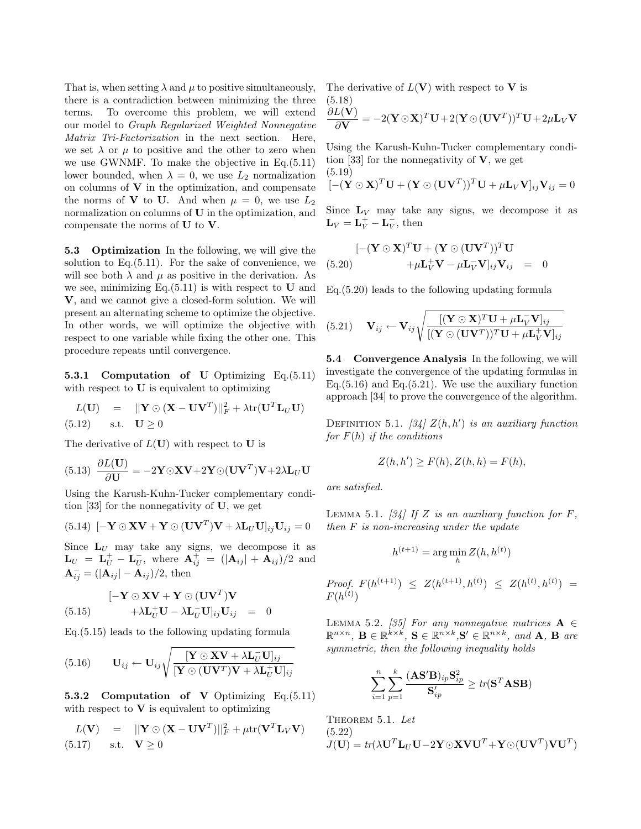That is, when setting  $\lambda$  and  $\mu$  to positive simultaneously, there is a contradiction between minimizing the three terms. To overcome this problem, we will extend our model to Graph Regularized Weighted Nonnegative Matrix Tri-Factorization in the next section. Here, we set  $\lambda$  or  $\mu$  to positive and the other to zero when we use GWNMF. To make the objective in Eq.(5.11) lower bounded, when  $\lambda = 0$ , we use  $L_2$  normalization on columns of  $V$  in the optimization, and compensate the norms of **V** to **U**. And when  $\mu = 0$ , we use  $L_2$ normalization on columns of U in the optimization, and compensate the norms of U to V.

5.3 Optimization In the following, we will give the solution to  $Eq.(5.11)$ . For the sake of convenience, we will see both  $\lambda$  and  $\mu$  as positive in the derivation. As we see, minimizing Eq. $(5.11)$  is with respect to U and V, and we cannot give a closed-form solution. We will present an alternating scheme to optimize the objective. In other words, we will optimize the objective with respect to one variable while fixing the other one. This procedure repeats until convergence.

5.3.1 Computation of U Optimizing Eq.(5.11) with respect to U is equivalent to optimizing

$$
L(\mathbf{U}) = ||\mathbf{Y} \odot (\mathbf{X} - \mathbf{U}\mathbf{V}^T)||_F^2 + \lambda \text{tr}(\mathbf{U}^T \mathbf{L}_U \mathbf{U})
$$
  
(5.12) s.t.  $\mathbf{U} \ge 0$ 

The derivative of  $L(U)$  with respect to U is

$$
(5.13)\ \frac{\partial L(\mathbf{U})}{\partial \mathbf{U}} = -2\mathbf{Y} \odot \mathbf{X} \mathbf{V} + 2\mathbf{Y} \odot (\mathbf{U}\mathbf{V}^T)\mathbf{V} + 2\lambda \mathbf{L}_U \mathbf{U}
$$

Using the Karush-Kuhn-Tucker complementary condition [33] for the nonnegativity of U, we get

(5.14) 
$$
[-\mathbf{Y} \odot \mathbf{X} \mathbf{V} + \mathbf{Y} \odot (\mathbf{U} \mathbf{V}^T) \mathbf{V} + \lambda \mathbf{L}_U \mathbf{U}]_{ij} \mathbf{U}_{ij} = 0
$$

Since  $L_U$  may take any signs, we decompose it as  ${\bf L}_U = {\bf L}_U^+ - {\bf L}_U^-$ , where  ${\bf A}_{ij}^+ = ( |{\bf A}_{ij}| + {\bf A}_{ij} )/2$  and  $\mathbf{A}_{ij}^- = (|\mathbf{A}_{ij}| - \mathbf{A}_{ij})/2$ , then

(5.15) 
$$
\begin{aligned}\n&[-\mathbf{Y} \odot \mathbf{X} \mathbf{V} + \mathbf{Y} \odot (\mathbf{U} \mathbf{V}^T) \mathbf{V} \\
&+ \lambda \mathbf{L}_U^+ \mathbf{U} - \lambda \mathbf{L}_U^- \mathbf{U} \big]_{ij} \mathbf{U}_{ij} = 0\n\end{aligned}
$$

Eq.(5.15) leads to the following updating formula

(5.16) 
$$
\mathbf{U}_{ij} \leftarrow \mathbf{U}_{ij} \sqrt{\frac{[\mathbf{Y} \odot \mathbf{X} \mathbf{V} + \lambda \mathbf{L}_U^- \mathbf{U}]_{ij}}{[\mathbf{Y} \odot (\mathbf{U} \mathbf{V}^T)\mathbf{V} + \lambda \mathbf{L}_U^+ \mathbf{U}]_{ij}}}
$$

5.3.2 Computation of V Optimizing Eq.(5.11) with respect to  $V$  is equivalent to optimizing

$$
L(\mathbf{V}) = ||\mathbf{Y} \odot (\mathbf{X} - \mathbf{U}\mathbf{V}^T)||_F^2 + \mu \text{tr}(\mathbf{V}^T \mathbf{L}_V \mathbf{V})
$$
  
(5.17) s.t.  $\mathbf{V} \ge 0$ 

The derivative of  $L(V)$  with respect to V is (5.18)

$$
\frac{\partial L(\mathbf{V})}{\partial \mathbf{V}} = -2(\mathbf{Y} \odot \mathbf{X})^T \mathbf{U} + 2(\mathbf{Y} \odot (\mathbf{U}\mathbf{V}^T))^T \mathbf{U} + 2\mu \mathbf{L}_V \mathbf{V}
$$

Using the Karush-Kuhn-Tucker complementary condition [33] for the nonnegativity of  $V$ , we get (5.19)

$$
[-(\mathbf{Y} \odot \mathbf{X})^T \mathbf{U} + (\mathbf{Y} \odot (\mathbf{U}\mathbf{V}^T))^T \mathbf{U} + \mu \mathbf{L}_V \mathbf{V}]_{ij} \mathbf{V}_{ij} = 0
$$

Since  $L_V$  may take any signs, we decompose it as  $\mathbf{L}_V = \mathbf{L}_V^+ - \mathbf{L}_V^-$ , then

$$
[-(\mathbf{Y} \odot \mathbf{X})^T \mathbf{U} + (\mathbf{Y} \odot (\mathbf{U}\mathbf{V}^T))^T \mathbf{U} + \mu \mathbf{L}_{V}^{+} \mathbf{V} - \mu \mathbf{L}_{V}^{-} \mathbf{V}]_{ij} \mathbf{V}_{ij} = 0
$$

Eq.(5.20) leads to the following updating formula

(5.21) 
$$
\mathbf{V}_{ij} \leftarrow \mathbf{V}_{ij} \sqrt{\frac{\left[ (\mathbf{Y} \odot \mathbf{X})^T \mathbf{U} + \mu \mathbf{L}_V^- \mathbf{V} \right]_{ij}}{\left[ (\mathbf{Y} \odot (\mathbf{U} \mathbf{V}^T))^T \mathbf{U} + \mu \mathbf{L}_V^+ \mathbf{V} \right]_{ij}}}
$$

5.4 Convergence Analysis In the following, we will investigate the convergence of the updating formulas in  $Eq.(5.16)$  and  $Eq.(5.21)$ . We use the auxiliary function approach [34] to prove the convergence of the algorithm.

DEFINITION 5.1. [34]  $Z(h, h')$  is an auxiliary function for  $F(h)$  if the conditions

$$
Z(h, h') \ge F(h), Z(h, h) = F(h),
$$

are satisfied.

LEMMA 5.1. [34] If Z is an auxiliary function for F, then F is non-increasing under the update

$$
h^{(t+1)} = \arg\min_h Z(h, h^{(t)})
$$

*Proof.* 
$$
F(h^{(t+1)}) \leq Z(h^{(t+1)}, h^{(t)}) \leq Z(h^{(t)}, h^{(t)}) = F(h^{(t)})
$$

LEMMA 5.2. [35] For any nonnegative matrices  $A \in$  $\mathbb{R}^{n \times n}$ ,  $\mathbf{B} \in \mathbb{R}^{k \times k}$ ,  $\mathbf{S} \in \mathbb{R}^{n \times k}$ ,  $\mathbf{S'} \in \mathbb{R}^{n \times k}$ , and  $\mathbf{A}$ ,  $\mathbf{B}$  are symmetric, then the following inequality holds

$$
\sum_{i=1}^{n} \sum_{p=1}^{k} \frac{\mathbf{(AS'B)}_{ip} \mathbf{S}_{ip}^{2}}{\mathbf{S}_{ip}'} \ge tr(\mathbf{S}^{T} \mathbf{ASB})
$$

THEOREM 5.1. Let (5.22)  $\hat{J}(\mathbf{U}) = \textit{tr}(\lambda \mathbf{U}^T \mathbf{L}_U \mathbf{U} - 2 \mathbf{Y} \odot \mathbf{X} \mathbf{V} \mathbf{U}^T + \mathbf{Y} \odot (\mathbf{U} \mathbf{V}^T) \mathbf{V} \mathbf{U}^T)$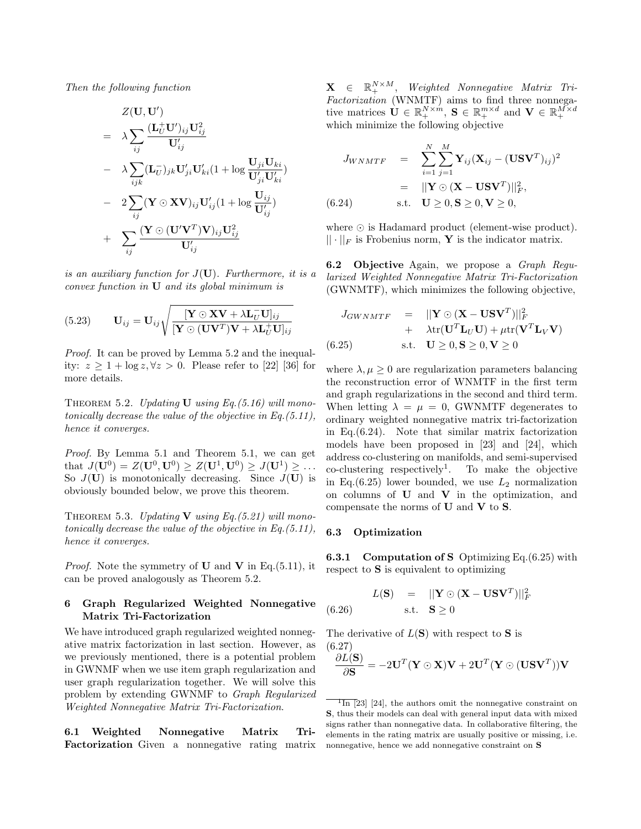Then the following function

$$
Z(\mathbf{U}, \mathbf{U}') = \lambda \sum_{ij} \frac{(\mathbf{L}_U^+ \mathbf{U}')_{ij} \mathbf{U}_{ij}^2}{\mathbf{U}_{ij}'} - \lambda \sum_{ijk} (\mathbf{L}_U^-)_{jk} \mathbf{U}_{ji}' \mathbf{U}_{ki}' (1 + \log \frac{\mathbf{U}_{ji} \mathbf{U}_{ki}}{\mathbf{U}_{ji}' \mathbf{U}_{ki}'}) - 2 \sum_{ij} (\mathbf{Y} \odot \mathbf{X} \mathbf{V})_{ij} \mathbf{U}_{ij}' (1 + \log \frac{\mathbf{U}_{ij}}{\mathbf{U}_{ij}'}) + \sum_{ij} \frac{(\mathbf{Y} \odot (\mathbf{U}' \mathbf{V}^T) \mathbf{V})_{ij} \mathbf{U}_{ij}^2}{\mathbf{U}_{ij}'}
$$

is an auxiliary function for  $J(U)$ . Furthermore, it is a convex function in U and its global minimum is

(5.23) 
$$
\mathbf{U}_{ij} = \mathbf{U}_{ij} \sqrt{\frac{[\mathbf{Y} \odot \mathbf{X} \mathbf{V} + \lambda \mathbf{L}_U^- \mathbf{U}]_{ij}}{[\mathbf{Y} \odot (\mathbf{U} \mathbf{V}^T) \mathbf{V} + \lambda \mathbf{L}_U^+ \mathbf{U}]_{ij}}}
$$

Proof. It can be proved by Lemma 5.2 and the inequality:  $z \geq 1 + \log z, \forall z > 0$ . Please refer to [22] [36] for more details.

THEOREM 5.2. Updating  **using Eq.(5.16) will mono**tonically decrease the value of the objective in Eq.(5.11), hence it converges.

Proof. By Lemma 5.1 and Theorem 5.1, we can get that  $J(\mathbf{U}^0) = Z(\mathbf{U}^0, \mathbf{U}^0) \geq Z(\mathbf{U}^1, \mathbf{U}^0) \geq J(\mathbf{U}^1) \geq \dots$ So  $J(\mathbf{U})$  is monotonically decreasing. Since  $J(\mathbf{U})$  is obviously bounded below, we prove this theorem.

THEOREM 5.3. Updating **V** using Eq.  $(5.21)$  will monotonically decrease the value of the objective in Eq.(5.11), hence it converges.

*Proof.* Note the symmetry of **U** and **V** in Eq.(5.11), it can be proved analogously as Theorem 5.2.

# 6 Graph Regularized Weighted Nonnegative Matrix Tri-Factorization

We have introduced graph regularized weighted nonnegative matrix factorization in last section. However, as we previously mentioned, there is a potential problem in GWNMF when we use item graph regularization and user graph regularization together. We will solve this problem by extending GWNMF to Graph Regularized Weighted Nonnegative Matrix Tri-Factorization.

6.1 Weighted Nonnegative Matrix Tri-Factorization Given a nonnegative rating matrix  $\mathbf{X} \quad \in \quad \mathbb{R}_{+}^{N \times M}, \quad Weighted \quad Nonnegative \quad Matrix \quad Tri-$ Factorization (WNMTF) aims to find three nonnegative matrices  $\mathbf{U} \in \mathbb{R}_+^{N \times m}$ ,  $\mathbf{S} \in \mathbb{R}_+^{m \times d}$  and  $\mathbf{V} \in \mathbb{R}_+^{M \times d}$ <br>which minimize the following objective

$$
J_{WNMTF} = \sum_{i=1}^{N} \sum_{j=1}^{M} \mathbf{Y}_{ij} (\mathbf{X}_{ij} - (\mathbf{U}\mathbf{S}\mathbf{V}^{T})_{ij})^{2}
$$
  
= 
$$
||\mathbf{Y} \odot (\mathbf{X} - \mathbf{U}\mathbf{S}\mathbf{V}^{T})||_{F}^{2},
$$
  
(6.24) 
$$
\text{s.t.} \quad \mathbf{U} \ge 0, \mathbf{S} \ge 0, \mathbf{V} \ge 0,
$$

where  $\odot$  is Hadamard product (element-wise product).  $|| \cdot ||_F$  is Frobenius norm, Y is the indicator matrix.

6.2 Objective Again, we propose a Graph Regularized Weighted Nonnegative Matrix Tri-Factorization (GWNMTF), which minimizes the following objective,

$$
J_{GWNMTF} = ||\mathbf{Y} \odot (\mathbf{X} - \mathbf{U}\mathbf{S}\mathbf{V}^T)||_F^2
$$
  
+ 
$$
\lambda \text{tr}(\mathbf{U}^T \mathbf{L}_U \mathbf{U}) + \mu \text{tr}(\mathbf{V}^T \mathbf{L}_V \mathbf{V})
$$
  
(6.25) s.t. 
$$
\mathbf{U} \ge 0, \mathbf{S} \ge 0, \mathbf{V} \ge 0
$$

where  $\lambda, \mu \geq 0$  are regularization parameters balancing the reconstruction error of WNMTF in the first term and graph regularizations in the second and third term. When letting  $\lambda = \mu = 0$ , GWNMTF degenerates to ordinary weighted nonnegative matrix tri-factorization in Eq.(6.24). Note that similar matrix factorization models have been proposed in [23] and [24], which address co-clustering on manifolds, and semi-supervised  $\text{co-clustering respectively}^1$ . To make the objective in Eq.(6.25) lower bounded, we use  $L_2$  normalization on columns of  $U$  and  $V$  in the optimization, and compensate the norms of  $U$  and  $V$  to  $S$ .

#### 6.3 Optimization

 $(6.26)$ 

6.3.1 Computation of S Optimizing Eq.(6.25) with respect to S is equivalent to optimizing

$$
L(\mathbf{S}) = ||\mathbf{Y} \odot (\mathbf{X} - \mathbf{U}\mathbf{S}\mathbf{V}^T)||_F^2
$$
  
s.t. 
$$
\mathbf{S} \ge 0
$$

The derivative of  $L(S)$  with respect to S is (6.27)

$$
\frac{\partial L(\mathbf{S})}{\partial \mathbf{S}} = -2\mathbf{U}^T(\mathbf{Y} \odot \mathbf{X})\mathbf{V} + 2\mathbf{U}^T(\mathbf{Y} \odot (\mathbf{U}\mathbf{S}\mathbf{V}^T))\mathbf{V}
$$

 $\overline{^{1}\text{In}}$  [23] [24], the authors omit the nonnegative constraint on S, thus their models can deal with general input data with mixed signs rather than nonnegative data. In collaborative filtering, the elements in the rating matrix are usually positive or missing, i.e. nonnegative, hence we add nonnegative constraint on S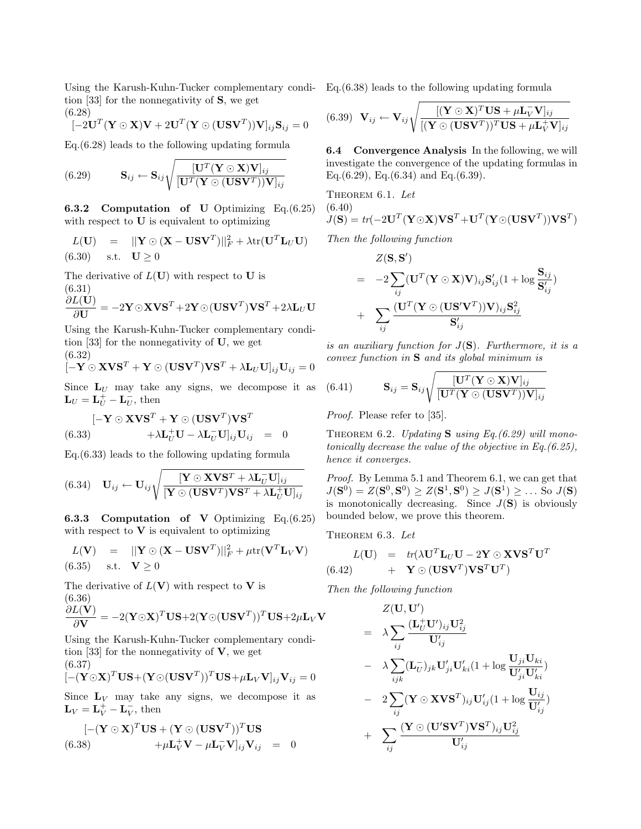Using the Karush-Kuhn-Tucker complementary condi-Eq.(6.38) leads to the following updating formula tion [33] for the nonnegativity of S, we get

$$
(6.28)
$$
  

$$
[-2\mathbf{U}^T(\mathbf{Y}\odot\mathbf{X})\mathbf{V}+2\mathbf{U}^T(\mathbf{Y}\odot(\mathbf{U}\mathbf{S}\mathbf{V}^T))\mathbf{V}]_{ij}\mathbf{S}_{ij}=0
$$

Eq.(6.28) leads to the following updating formula

(6.29) 
$$
\mathbf{S}_{ij} \leftarrow \mathbf{S}_{ij} \sqrt{\frac{[\mathbf{U}^T (\mathbf{Y} \odot \mathbf{X}) \mathbf{V}]_{ij}}{[\mathbf{U}^T (\mathbf{Y} \odot (\mathbf{U} \mathbf{S} \mathbf{V}^T)) \mathbf{V}]_{ij}}}
$$

6.3.2 Computation of U Optimizing Eq.(6.25) with respect to U is equivalent to optimizing

$$
L(\mathbf{U}) = ||\mathbf{Y} \odot (\mathbf{X} - \mathbf{U}\mathbf{S}\mathbf{V}^T)||_F^2 + \lambda \text{tr}(\mathbf{U}^T \mathbf{L}_U \mathbf{U})
$$
  
(6.30) s.t.  $\mathbf{U} \ge 0$ 

The derivative of  $L(U)$  with respect to U is  $(6.91)$ 

$$
\frac{\partial L(\mathbf{U})}{\partial \mathbf{U}} = -2\mathbf{Y} \odot \mathbf{X} \mathbf{V} \mathbf{S}^T + 2\mathbf{Y} \odot (\mathbf{U} \mathbf{S} \mathbf{V}^T) \mathbf{V} \mathbf{S}^T + 2\lambda \mathbf{L}_U \mathbf{U}
$$

Using the Karush-Kuhn-Tucker complementary condition [33] for the nonnegativity of U, we get (6.32)

$$
[-\mathbf{Y} \odot \mathbf{X} \mathbf{V} \mathbf{S}^T + \mathbf{Y} \odot (\mathbf{U} \mathbf{S} \mathbf{V}^T) \mathbf{V} \mathbf{S}^T + \lambda \mathbf{L}_U \mathbf{U}]_{ij} \mathbf{U}_{ij} = 0
$$

Since  $\mathbf{L}_U$  may take any signs, we decompose it as  $\mathbf{L}_U = \mathbf{L}_U^+ - \mathbf{L}_U^-,$  then

$$
[-\mathbf{Y} \odot \mathbf{X} \mathbf{V} \mathbf{S}^T + \mathbf{Y} \odot (\mathbf{U} \mathbf{S} \mathbf{V}^T) \mathbf{V} \mathbf{S}^T + \lambda \mathbf{L}_U^+ \mathbf{U} - \lambda \mathbf{L}_U^- \mathbf{U}]_{ij} \mathbf{U}_{ij} = 0
$$

Eq.(6.33) leads to the following updating formula

(6.34) 
$$
\mathbf{U}_{ij} \leftarrow \mathbf{U}_{ij} \sqrt{\frac{[\mathbf{Y} \odot \mathbf{X} \mathbf{V} \mathbf{S}^T + \lambda \mathbf{L}_U^- \mathbf{U}]_{ij}}{[\mathbf{Y} \odot (\mathbf{U} \mathbf{S} \mathbf{V}^T) \mathbf{V} \mathbf{S}^T + \lambda \mathbf{L}_U^+ \mathbf{U}]_{ij}}}
$$

6.3.3 Computation of V Optimizing Eq.(6.25) with respect to  $V$  is equivalent to optimizing

$$
L(\mathbf{V}) = ||\mathbf{Y} \odot (\mathbf{X} - \mathbf{U}\mathbf{S}\mathbf{V}^T)||_F^2 + \mu \text{tr}(\mathbf{V}^T \mathbf{L}_V \mathbf{V})
$$
  
(6.35) s.t.  $\mathbf{V} \ge 0$ 

The derivative of  $L(V)$  with respect to V is (6.36)

$$
\frac{\partial L(\mathbf{V})}{\partial \mathbf{V}} = -2(\mathbf{Y}\odot\mathbf{X})^T \mathbf{U}\mathbf{S} + 2(\mathbf{Y}\odot(\mathbf{U}\mathbf{S}\mathbf{V}^T))^T \mathbf{U}\mathbf{S} + 2\mu \mathbf{L}_V \mathbf{V}
$$

Using the Karush-Kuhn-Tucker complementary condition [33] for the nonnegativity of  $V$ , we get (6.37)

$$
[-(\mathbf{Y}\odot\mathbf{X})^T\mathbf{U}\mathbf{S}+(\mathbf{Y}\odot(\mathbf{U}\mathbf{S}\mathbf{V}^T))^T\mathbf{U}\mathbf{S}+\mu\mathbf{L}_V\mathbf{V}]_{ij}\mathbf{V}_{ij}=0
$$

Since  $L_V$  may take any signs, we decompose it as  $\mathbf{L}_V = \mathbf{L}_V^+ - \mathbf{L}_V^-$ , then

$$
[-(\mathbf{Y} \odot \mathbf{X})^T \mathbf{U} \mathbf{S} + (\mathbf{Y} \odot (\mathbf{U} \mathbf{S} \mathbf{V}^T))^T \mathbf{U} \mathbf{S}+ \mu \mathbf{L}_{V}^{\perp} \mathbf{V} - \mu \mathbf{L}_{V}^{\perp} \mathbf{V} \big]_{ij} \mathbf{V}_{ij} = 0
$$

(6.39) 
$$
\mathbf{V}_{ij} \leftarrow \mathbf{V}_{ij} \sqrt{\frac{\left[ (\mathbf{Y} \odot \mathbf{X})^T \mathbf{U} \mathbf{S} + \mu \mathbf{L}_V^- \mathbf{V} \right]_{ij}}{\left[ (\mathbf{Y} \odot (\mathbf{U} \mathbf{S} \mathbf{V}^T))^T \mathbf{U} \mathbf{S} + \mu \mathbf{L}_V^+ \mathbf{V} \right]_{ij}}}
$$

6.4 Convergence Analysis In the following, we will investigate the convergence of the updating formulas in Eq.(6.29), Eq.(6.34) and Eq.(6.39).

THEOREM 6.1. Let  
\n
$$
(6.40)
$$
\n
$$
J(\mathbf{S}) = tr(-2\mathbf{U}^T(\mathbf{Y}\odot\mathbf{X})\mathbf{V}\mathbf{S}^T + \mathbf{U}^T(\mathbf{Y}\odot(\mathbf{U}\mathbf{S}\mathbf{V}^T))\mathbf{V}\mathbf{S}^T)
$$

Then the following function

$$
Z(\mathbf{S}, \mathbf{S}') = -2 \sum_{ij} (\mathbf{U}^T (\mathbf{Y} \odot \mathbf{X}) \mathbf{V})_{ij} \mathbf{S}'_{ij} (1 + \log \frac{\mathbf{S}_{ij}}{\mathbf{S}'_{ij}}) + \sum_{ij} \frac{(\mathbf{U}^T (\mathbf{Y} \odot (\mathbf{U}\mathbf{S}'\mathbf{V}^T)) \mathbf{V})_{ij} \mathbf{S}_{ij}^2}{\mathbf{S}'_{ij}}
$$

is an auxiliary function for  $J(\mathbf{S})$ . Furthermore, it is a convex function in S and its global minimum is

(6.41) 
$$
\mathbf{S}_{ij} = \mathbf{S}_{ij} \sqrt{\frac{[\mathbf{U}^T (\mathbf{Y} \odot \mathbf{X}) \mathbf{V}]_{ij}}{[\mathbf{U}^T (\mathbf{Y} \odot (\mathbf{U} \mathbf{S} \mathbf{V}^T)) \mathbf{V}]_{ij}}}
$$

Proof. Please refer to [35].

THEOREM 6.2. Updating  $S$  using Eq.(6.29) will monotonically decrease the value of the objective in Eq.(6.25), hence it converges.

Proof. By Lemma 5.1 and Theorem 6.1, we can get that  $J(\mathbf{S}^{0}) = Z(\mathbf{S}^{0}, \mathbf{S}^{0}) \geq Z(\mathbf{S}^{1}, \mathbf{S}^{0}) \geq J(\mathbf{S}^{1}) \geq \dots$  So  $J(\mathbf{S})$ is monotonically decreasing. Since  $J(\mathbf{S})$  is obviously bounded below, we prove this theorem.

THEOREM 6.3. Let

$$
L(\mathbf{U}) = tr(\lambda \mathbf{U}^T \mathbf{L}_U \mathbf{U} - 2\mathbf{Y} \odot \mathbf{X} \mathbf{V} \mathbf{S}^T \mathbf{U}^T (6.42) + \mathbf{Y} \odot (\mathbf{U} \mathbf{S} \mathbf{V}^T) \mathbf{V} \mathbf{S}^T \mathbf{U}^T)
$$

Then the following function

$$
Z(\mathbf{U}, \mathbf{U}') = \lambda \sum_{ij} \frac{(\mathbf{L}_U^+ \mathbf{U}')_{ij} \mathbf{U}_{ij}^2}{\mathbf{U}_{ij}'} - \lambda \sum_{ijk} (\mathbf{L}_U^-)_{jk} \mathbf{U}_{ji}' \mathbf{U}_{ki}' (1 + \log \frac{\mathbf{U}_{ji} \mathbf{U}_{ki}}{\mathbf{U}_{ji}' \mathbf{U}_{ki}'}) - 2 \sum_{ij} (\mathbf{Y} \odot \mathbf{X} \mathbf{V} \mathbf{S}^T)_{ij} \mathbf{U}_{ij}' (1 + \log \frac{\mathbf{U}_{ij}}{\mathbf{U}_{ij}'} ) + \sum_{ij} \frac{(\mathbf{Y} \odot (\mathbf{U}' \mathbf{S} \mathbf{V}^T) \mathbf{V} \mathbf{S}^T)_{ij} \mathbf{U}_{ij}^2}{\mathbf{U}_{ij}'}
$$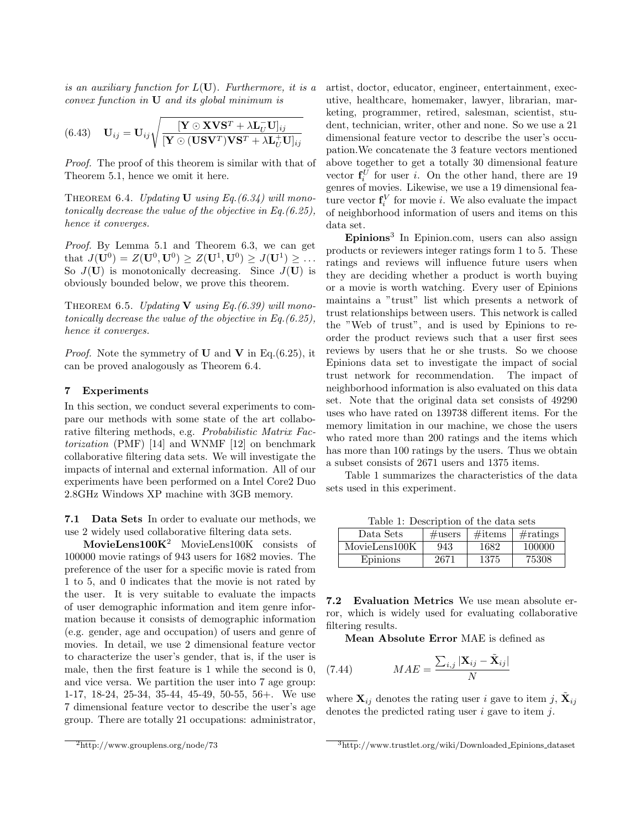is an auxiliary function for  $L(U)$ . Furthermore, it is a convex function in U and its global minimum is

(6.43) 
$$
\mathbf{U}_{ij} = \mathbf{U}_{ij} \sqrt{\frac{[\mathbf{Y} \odot \mathbf{X} \mathbf{V} \mathbf{S}^T + \lambda \mathbf{L}_U^- \mathbf{U}]_{ij}}{[\mathbf{Y} \odot (\mathbf{U} \mathbf{S} \mathbf{V}^T) \mathbf{V} \mathbf{S}^T + \lambda \mathbf{L}_U^+ \mathbf{U}]_{ij}}}
$$

Proof. The proof of this theorem is similar with that of Theorem 5.1, hence we omit it here.

THEOREM 6.4. Updating **U** using Eq.  $(6.34)$  will monotonically decrease the value of the objective in Eq.(6.25), hence it converges.

Proof. By Lemma 5.1 and Theorem 6.3, we can get that  $J(\mathbf{U}^0) = Z(\mathbf{U}^0, \mathbf{U}^0) \geq Z(\mathbf{U}^1, \mathbf{U}^0) \geq J(\mathbf{U}^1) \geq \dots$ So  $J(\mathbf{U})$  is monotonically decreasing. Since  $J(\mathbf{U})$  is obviously bounded below, we prove this theorem.

THEOREM 6.5. Updating **V** using Eq.  $(6.39)$  will monotonically decrease the value of the objective in Eq.(6.25), hence it converges.

*Proof.* Note the symmetry of **U** and **V** in Eq.(6.25), it can be proved analogously as Theorem 6.4.

# 7 Experiments

In this section, we conduct several experiments to compare our methods with some state of the art collaborative filtering methods, e.g. Probabilistic Matrix Factorization (PMF) [14] and WNMF [12] on benchmark collaborative filtering data sets. We will investigate the impacts of internal and external information. All of our experiments have been performed on a Intel Core2 Duo 2.8GHz Windows XP machine with 3GB memory.

7.1 Data Sets In order to evaluate our methods, we use 2 widely used collaborative filtering data sets.

 $MovieLens100K<sup>2</sup>$  MovieLens100K consists of 100000 movie ratings of 943 users for 1682 movies. The preference of the user for a specific movie is rated from 1 to 5, and 0 indicates that the movie is not rated by the user. It is very suitable to evaluate the impacts of user demographic information and item genre information because it consists of demographic information (e.g. gender, age and occupation) of users and genre of movies. In detail, we use 2 dimensional feature vector to characterize the user's gender, that is, if the user is male, then the first feature is 1 while the second is 0, and vice versa. We partition the user into 7 age group: 1-17, 18-24, 25-34, 35-44, 45-49, 50-55, 56+. We use 7 dimensional feature vector to describe the user's age group. There are totally 21 occupations: administrator, artist, doctor, educator, engineer, entertainment, executive, healthcare, homemaker, lawyer, librarian, marketing, programmer, retired, salesman, scientist, student, technician, writer, other and none. So we use a 21 dimensional feature vector to describe the user's occupation.We concatenate the 3 feature vectors mentioned above together to get a totally 30 dimensional feature vector  $\mathbf{f}_i^U$  for user *i*. On the other hand, there are 19 genres of movies. Likewise, we use a 19 dimensional feature vector  $\mathbf{f}_i^V$  for movie *i*. We also evaluate the impact of neighborhood information of users and items on this data set.

Epinions<sup>3</sup> In Epinion.com, users can also assign products or reviewers integer ratings form 1 to 5. These ratings and reviews will influence future users when they are deciding whether a product is worth buying or a movie is worth watching. Every user of Epinions maintains a "trust" list which presents a network of trust relationships between users. This network is called the "Web of trust", and is used by Epinions to reorder the product reviews such that a user first sees reviews by users that he or she trusts. So we choose Epinions data set to investigate the impact of social trust network for recommendation. The impact of neighborhood information is also evaluated on this data set. Note that the original data set consists of 49290 uses who have rated on 139738 different items. For the memory limitation in our machine, we chose the users who rated more than 200 ratings and the items which has more than 100 ratings by the users. Thus we obtain a subset consists of 2671 users and 1375 items.

Table 1 summarizes the characteristics of the data sets used in this experiment.

Table 1: Description of the data sets

| Data Sets       | $\#\text{users}$ | $\#items$ | $\#ratings$ |
|-----------------|------------------|-----------|-------------|
| MovieLens100K   | 943              | 1682      | 100000      |
| <b>Epinions</b> | 2671             | 1375      | 75308       |

7.2 Evaluation Metrics We use mean absolute error, which is widely used for evaluating collaborative filtering results.

Mean Absolute Error MAE is defined as

(7.44) 
$$
MAE = \frac{\sum_{i,j} |\mathbf{X}_{ij} - \tilde{\mathbf{X}}_{ij}|}{N}
$$

where  $\mathbf{X}_{ij}$  denotes the rating user i gave to item j,  $\tilde{\mathbf{X}}_{ij}$ denotes the predicted rating user  $i$  gave to item  $j$ .

 $\frac{2 \text{http://www.grouplens.org}/\text{node}/73}{2 \text{http://www.grouplens.org}/\text{node}/73}$ 

 $\frac{3}{3}$ http://www.trustlet.org/wiki/Downloaded Epinions dataset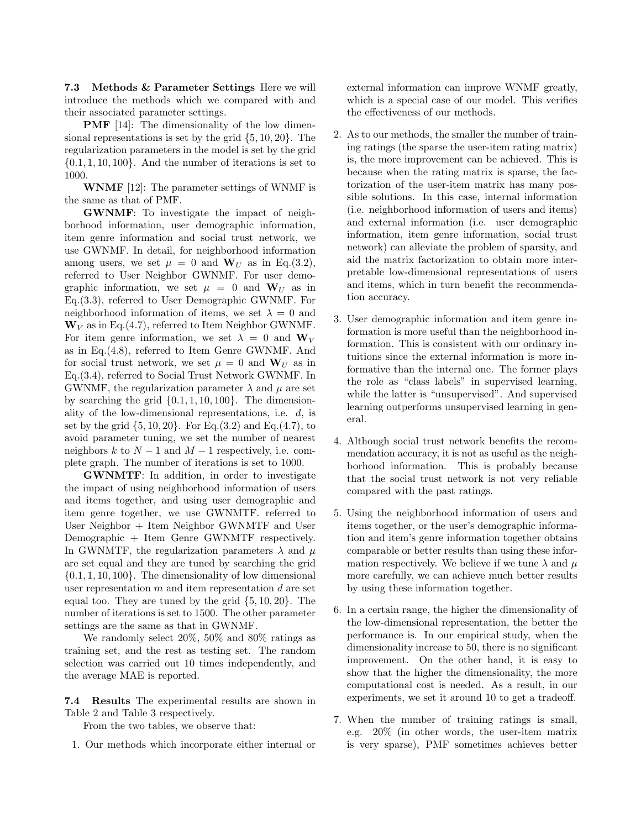7.3 Methods & Parameter Settings Here we will introduce the methods which we compared with and their associated parameter settings.

**PMF** [14]: The dimensionality of the low dimensional representations is set by the grid {5, 10, 20}. The regularization parameters in the model is set by the grid  $\{0.1, 1, 10, 100\}$ . And the number of iterations is set to 1000.

WNMF [12]: The parameter settings of WNMF is the same as that of PMF.

GWNMF: To investigate the impact of neighborhood information, user demographic information, item genre information and social trust network, we use GWNMF. In detail, for neighborhood information among users, we set  $\mu = 0$  and  $W_U$  as in Eq.(3.2), referred to User Neighbor GWNMF. For user demographic information, we set  $\mu = 0$  and  $W_U$  as in Eq.(3.3), referred to User Demographic GWNMF. For neighborhood information of items, we set  $\lambda = 0$  and  $W_V$  as in Eq.(4.7), referred to Item Neighbor GWNMF. For item genre information, we set  $\lambda = 0$  and  $W_V$ as in Eq.(4.8), referred to Item Genre GWNMF. And for social trust network, we set  $\mu = 0$  and  $W_U$  as in Eq.(3.4), referred to Social Trust Network GWNMF. In GWNMF, the regularization parameter  $\lambda$  and  $\mu$  are set by searching the grid  $\{0.1, 1, 10, 100\}$ . The dimensionality of the low-dimensional representations, i.e. d, is set by the grid  $\{5, 10, 20\}$ . For Eq. $(3.2)$  and Eq. $(4.7)$ , to avoid parameter tuning, we set the number of nearest neighbors k to  $N-1$  and  $M-1$  respectively, i.e. complete graph. The number of iterations is set to 1000.

GWNMTF: In addition, in order to investigate the impact of using neighborhood information of users and items together, and using user demographic and item genre together, we use GWNMTF. referred to User Neighbor + Item Neighbor GWNMTF and User Demographic + Item Genre GWNMTF respectively. In GWNMTF, the regularization parameters  $\lambda$  and  $\mu$ are set equal and they are tuned by searching the grid  $\{0.1, 1, 10, 100\}$ . The dimensionality of low dimensional user representation  $m$  and item representation  $d$  are set equal too. They are tuned by the grid  $\{5, 10, 20\}$ . The number of iterations is set to 1500. The other parameter settings are the same as that in GWNMF.

We randomly select 20%, 50% and 80% ratings as training set, and the rest as testing set. The random selection was carried out 10 times independently, and the average MAE is reported.

7.4 Results The experimental results are shown in Table 2 and Table 3 respectively.

From the two tables, we observe that:

1. Our methods which incorporate either internal or

external information can improve WNMF greatly, which is a special case of our model. This verifies the effectiveness of our methods.

- 2. As to our methods, the smaller the number of training ratings (the sparse the user-item rating matrix) is, the more improvement can be achieved. This is because when the rating matrix is sparse, the factorization of the user-item matrix has many possible solutions. In this case, internal information (i.e. neighborhood information of users and items) and external information (i.e. user demographic information, item genre information, social trust network) can alleviate the problem of sparsity, and aid the matrix factorization to obtain more interpretable low-dimensional representations of users and items, which in turn benefit the recommendation accuracy.
- 3. User demographic information and item genre information is more useful than the neighborhood information. This is consistent with our ordinary intuitions since the external information is more informative than the internal one. The former plays the role as "class labels" in supervised learning, while the latter is "unsupervised". And supervised learning outperforms unsupervised learning in general.
- 4. Although social trust network benefits the recommendation accuracy, it is not as useful as the neighborhood information. This is probably because that the social trust network is not very reliable compared with the past ratings.
- 5. Using the neighborhood information of users and items together, or the user's demographic information and item's genre information together obtains comparable or better results than using these information respectively. We believe if we tune  $\lambda$  and  $\mu$ more carefully, we can achieve much better results by using these information together.
- 6. In a certain range, the higher the dimensionality of the low-dimensional representation, the better the performance is. In our empirical study, when the dimensionality increase to 50, there is no significant improvement. On the other hand, it is easy to show that the higher the dimensionality, the more computational cost is needed. As a result, in our experiments, we set it around 10 to get a tradeoff.
- 7. When the number of training ratings is small, e.g. 20% (in other words, the user-item matrix is very sparse), PMF sometimes achieves better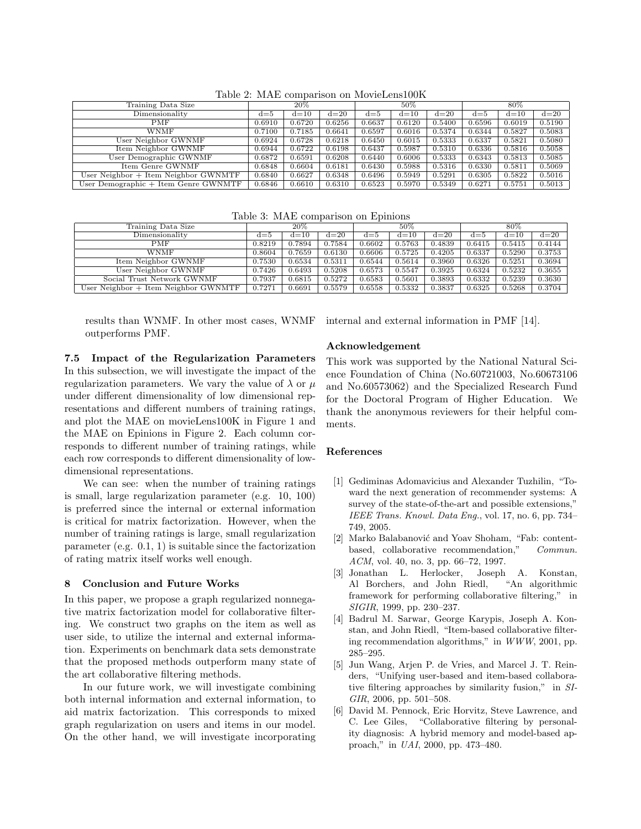| Training Data Size                     | $20\%$ |        | 50%    |        |        | 80%    |         |        |        |
|----------------------------------------|--------|--------|--------|--------|--------|--------|---------|--------|--------|
| Dimensionality                         | $d=5$  | $d=10$ | $d=20$ | $d=5$  | $d=10$ | $d=20$ | $d = 5$ | $d=10$ | $d=20$ |
| <b>PMF</b>                             | 0.6910 | 0.6720 | 0.6256 | 0.6637 | 0.6120 | 0.5400 | 0.6596  | 0.6019 | 0.5190 |
| <b>WNMF</b>                            | 0.7100 | 0.7185 | 0.6641 | 0.6597 | 0.6016 | 0.5374 | 0.6344  | 0.5827 | 0.5083 |
| User Neighbor GWNMF                    | 0.6924 | 0.6728 | 0.6218 | 0.6450 | 0.6015 | 0.5333 | 0.6337  | 0.5821 | 0.5080 |
| Item Neighbor GWNMF                    | 0.6944 | 0.6722 | 0.6198 | 0.6437 | 0.5987 | 0.5310 | 0.6336  | 0.5816 | 0.5058 |
| User Demographic GWNMF                 | 0.6872 | 0.6591 | 0.6208 | 0.6440 | 0.6006 | 0.5333 | 0.6343  | 0.5813 | 0.5085 |
| Item Genre GWNMF                       | 0.6848 | 0.6604 | 0.6181 | 0.6430 | 0.5988 | 0.5316 | 0.6330  | 0.5811 | 0.5069 |
| User Neighbor $+$ Item Neighbor GWNMTF | 0.6840 | 0.6627 | 0.6348 | 0.6496 | 0.5949 | 0.5291 | 0.6305  | 0.5822 | 0.5016 |
| User Demographic $+$ Item Genre GWNMTF | 0.6846 | 0.6610 | 0.6310 | 0.6523 | 0.5970 | 0.5349 | 0.6271  | 0.5751 | 0.5013 |

Table 2: MAE comparison on MovieLens100K

Table 3: MAE comparison on Epinions

| Training Data Size                     | $20\%$ |          |        | $50\%$  |          |        | 80%     |          |          |
|----------------------------------------|--------|----------|--------|---------|----------|--------|---------|----------|----------|
| Dimensionality                         | d=5    | $d = 10$ | $d=20$ | $d = 5$ | $d = 10$ | $d=20$ | $d = 5$ | $d = 10$ | $d = 20$ |
| PMF                                    | 0.8219 | 0.7894   | 0.7584 | 0.6602  | 0.5763   | 0.4839 | 0.6415  | 0.5415   | 0.4144   |
| <b>WNMF</b>                            | 0.8604 | 0.7659   | 0.6130 | 0.6606  | 0.5725   | 0.4205 | 0.6337  | 0.5290   | 0.3753   |
| Item Neighbor GWNMF                    | 0.7530 | 0.6534   | 0.5311 | 0.6544  | 0.5614   | 0.3960 | 0.6326  | 0.5251   | 0.3694   |
| User Neighbor GWNMF                    | 0.7426 | 0.6493   | 0.5208 | 0.6573  | 0.5547   | 0.3925 | 0.6324  | 0.5232   | 0.3655   |
| Social Trust Network GWNMF             | 0.7937 | 0.6815   | 0.5272 | 0.6583  | 0.5601   | 0.3893 | 0.6332  | 0.5239   | 0.3630   |
| User Neighbor $+$ Item Neighbor GWNMTF | 0.7271 | 0.6691   | 0.5579 | 0.6558  | 0.5332   | 0.3837 | 0.6325  | 0.5268   | 0.3704   |

results than WNMF. In other most cases, WNMF outperforms PMF.

7.5 Impact of the Regularization Parameters In this subsection, we will investigate the impact of the regularization parameters. We vary the value of  $\lambda$  or  $\mu$ under different dimensionality of low dimensional representations and different numbers of training ratings, and plot the MAE on movieLens100K in Figure 1 and the MAE on Epinions in Figure 2. Each column corresponds to different number of training ratings, while each row corresponds to different dimensionality of lowdimensional representations.

We can see: when the number of training ratings is small, large regularization parameter (e.g. 10, 100) is preferred since the internal or external information is critical for matrix factorization. However, when the number of training ratings is large, small regularization parameter (e.g. 0.1, 1) is suitable since the factorization of rating matrix itself works well enough.

#### 8 Conclusion and Future Works

In this paper, we propose a graph regularized nonnegative matrix factorization model for collaborative filtering. We construct two graphs on the item as well as user side, to utilize the internal and external information. Experiments on benchmark data sets demonstrate that the proposed methods outperform many state of the art collaborative filtering methods.

In our future work, we will investigate combining both internal information and external information, to aid matrix factorization. This corresponds to mixed graph regularization on users and items in our model. On the other hand, we will investigate incorporating internal and external information in PMF [14].

# Acknowledgement

This work was supported by the National Natural Science Foundation of China (No.60721003, No.60673106 and No.60573062) and the Specialized Research Fund for the Doctoral Program of Higher Education. We thank the anonymous reviewers for their helpful comments.

#### References

- [1] Gediminas Adomavicius and Alexander Tuzhilin, "Toward the next generation of recommender systems: A survey of the state-of-the-art and possible extensions," IEEE Trans. Knowl. Data Eng., vol. 17, no. 6, pp. 734– 749, 2005.
- [2] Marko Balabanović and Yoav Shoham, "Fab: contentbased, collaborative recommendation," Commun. ACM, vol. 40, no. 3, pp. 66–72, 1997.
- [3] Jonathan L. Herlocker, Joseph A. Konstan, Al Borchers, and John Riedl, "An algorithmic framework for performing collaborative filtering," in SIGIR, 1999, pp. 230–237.
- [4] Badrul M. Sarwar, George Karypis, Joseph A. Konstan, and John Riedl, "Item-based collaborative filtering recommendation algorithms," in WWW, 2001, pp. 285–295.
- [5] Jun Wang, Arjen P. de Vries, and Marcel J. T. Reinders, "Unifying user-based and item-based collaborative filtering approaches by similarity fusion," in SI-GIR, 2006, pp. 501-508.
- [6] David M. Pennock, Eric Horvitz, Steve Lawrence, and C. Lee Giles, "Collaborative filtering by personality diagnosis: A hybrid memory and model-based approach," in UAI, 2000, pp. 473–480.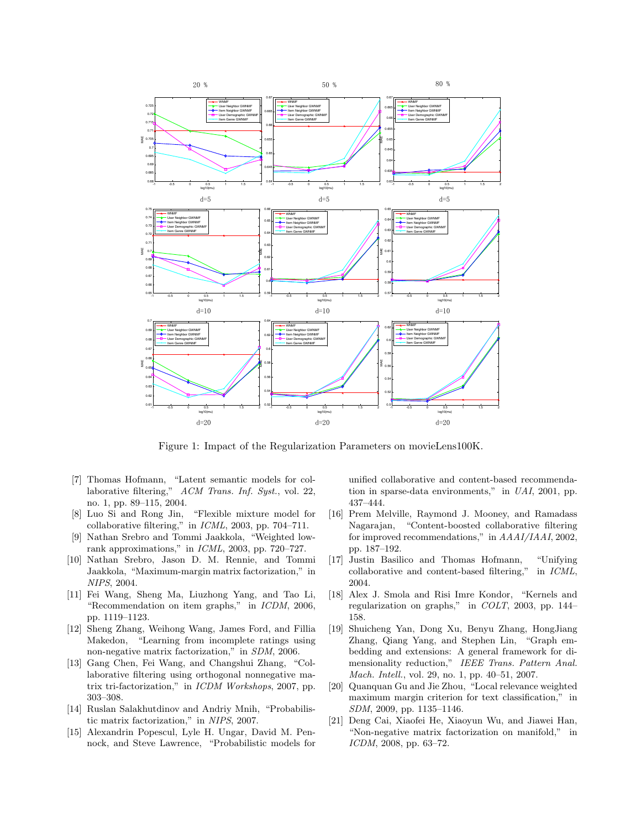

Figure 1: Impact of the Regularization Parameters on movieLens100K.

- [7] Thomas Hofmann, "Latent semantic models for collaborative filtering," ACM Trans. Inf. Syst., vol. 22, no. 1, pp. 89–115, 2004.
- [8] Luo Si and Rong Jin, "Flexible mixture model for collaborative filtering," in ICML, 2003, pp. 704–711.
- [9] Nathan Srebro and Tommi Jaakkola, "Weighted lowrank approximations," in ICML, 2003, pp. 720–727.
- [10] Nathan Srebro, Jason D. M. Rennie, and Tommi Jaakkola, "Maximum-margin matrix factorization," in NIPS, 2004.
- [11] Fei Wang, Sheng Ma, Liuzhong Yang, and Tao Li, "Recommendation on item graphs," in ICDM, 2006, pp. 1119–1123.
- [12] Sheng Zhang, Weihong Wang, James Ford, and Fillia Makedon, "Learning from incomplete ratings using non-negative matrix factorization," in SDM, 2006.
- [13] Gang Chen, Fei Wang, and Changshui Zhang, "Collaborative filtering using orthogonal nonnegative matrix tri-factorization," in ICDM Workshops, 2007, pp. 303–308.
- [14] Ruslan Salakhutdinov and Andriy Mnih, "Probabilistic matrix factorization," in NIPS, 2007.
- [15] Alexandrin Popescul, Lyle H. Ungar, David M. Pennock, and Steve Lawrence, "Probabilistic models for

unified collaborative and content-based recommendation in sparse-data environments," in UAI, 2001, pp. 437–444.

- [16] Prem Melville, Raymond J. Mooney, and Ramadass Nagarajan, "Content-boosted collaborative filtering for improved recommendations," in AAAI/IAAI, 2002, pp. 187–192.
- [17] Justin Basilico and Thomas Hofmann, "Unifying collaborative and content-based filtering," in ICML, 2004.
- [18] Alex J. Smola and Risi Imre Kondor, "Kernels and regularization on graphs," in COLT, 2003, pp. 144– 158.
- [19] Shuicheng Yan, Dong Xu, Benyu Zhang, HongJiang Zhang, Qiang Yang, and Stephen Lin, "Graph embedding and extensions: A general framework for dimensionality reduction," IEEE Trans. Pattern Anal. Mach. Intell., vol. 29, no. 1, pp. 40–51, 2007.
- [20] Quanquan Gu and Jie Zhou, "Local relevance weighted maximum margin criterion for text classification," in SDM, 2009, pp. 1135–1146.
- [21] Deng Cai, Xiaofei He, Xiaoyun Wu, and Jiawei Han, "Non-negative matrix factorization on manifold," in ICDM, 2008, pp. 63–72.